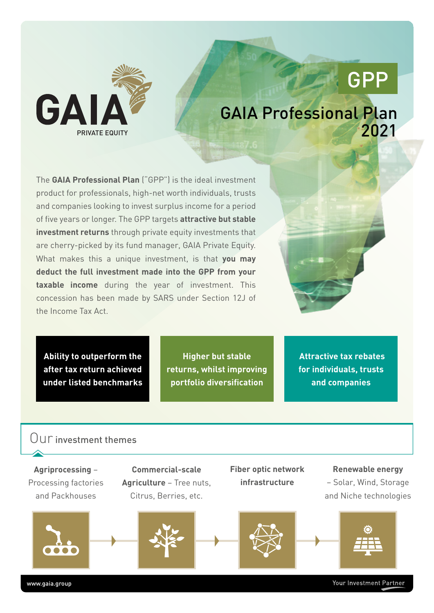

# GPP

# GAIA Professional Plan 2021

The **GAIA Professional Plan** ("GPP") is the ideal investment product for professionals, high-net worth individuals, trusts and companies looking to invest surplus income for a period of five years or longer. The GPP targets **attractive but stable investment returns** through private equity investments that are cherry-picked by its fund manager, GAIA Private Equity. What makes this a unique investment, is that **you may deduct the full investment made into the GPP from your taxable income** during the year of investment. This concession has been made by SARS under Section 12J of the Income Tax Act.

**Ability to outperform the after tax return achieved under listed benchmarks**

**Higher but stable returns, whilst improving portfolio diversification**

 **Attractive tax rebates for individuals, trusts and companies**

### Our investment themes

**Agriprocessing** – Processing factories and Packhouses



**Commercial-scale Agriculture** – Tree nuts, Citrus, Berries, etc.

**Fiber optic network infrastructure**

**Renewable energy** – Solar, Wind, Storage

and Niche technologies







www.gaia.group

Your Investment Partner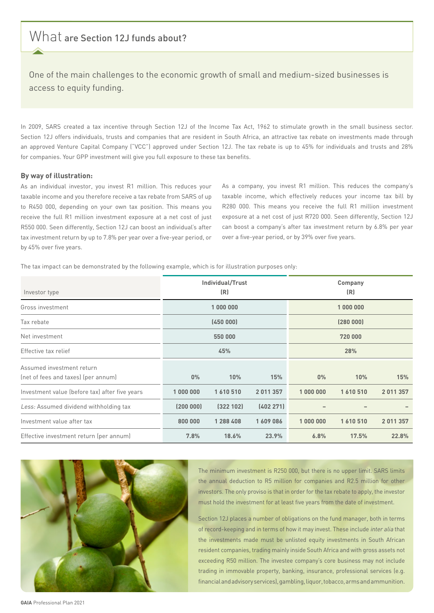### What are Section 12J funds about?

One of the main challenges to the economic growth of small and medium-sized businesses is access to equity funding.

In 2009, SARS created a tax incentive through Section 12J of the Income Tax Act, 1962 to stimulate growth in the small business sector. Section 12J offers individuals, trusts and companies that are resident in South Africa, an attractive tax rebate on investments made through an approved Venture Capital Company ("VCC") approved under Section 12J. The tax rebate is up to 45% for individuals and trusts and 28% for companies. Your GPP investment will give you full exposure to these tax benefits.

#### **By way of illustration:**

As an individual investor, you invest R1 million. This reduces your taxable income and you therefore receive a tax rebate from SARS of up to R450 000, depending on your own tax position. This means you receive the full R1 million investment exposure at a net cost of just R550 000. Seen differently, Section 12J can boost an individual's after tax investment return by up to 7.8% per year over a five-year period, or by 45% over five years.

As a company, you invest R1 million. This reduces the company's taxable income, which effectively reduces your income tax bill by R280 000. This means you receive the full R1 million investment exposure at a net cost of just R720 000. Seen differently, Section 12J can boost a company's after tax investment return by 6.8% per year over a five-year period, or by 39% over five years.

The tax impact can be demonstrated by the following example, which is for illustration purposes only:

| Investor type                                                    | Individual/Trust<br>(R) |           |           | Company<br>(R) |         |           |
|------------------------------------------------------------------|-------------------------|-----------|-----------|----------------|---------|-----------|
| Gross investment                                                 | 1 000 000               |           |           | 1 000 000      |         |           |
| Tax rebate                                                       | (450000)                |           |           | (280000)       |         |           |
| Net investment                                                   | 550 000                 |           |           | 720 000        |         |           |
| Effective tax relief                                             | 45%                     |           |           | 28%            |         |           |
| Assumed investment return<br>(net of fees and taxes) (per annum) | $0\%$                   | 10%       | 15%       | $0\%$          | 10%     | 15%       |
| Investment value (before tax) after five years                   | 1 000 000               | 1610510   | 2011357   | 1 000 000      | 1610510 | 2 011 357 |
| Less: Assumed dividend withholding tax                           | (200000)                | (322 102) | (402 271) |                |         |           |
| Investment value after tax                                       | 800 000                 | 1 288 408 | 1609086   | 1 000 000      | 1610510 | 2 011 357 |
| Effective investment return (per annum)                          | 7.8%                    | 18.6%     | 23.9%     | 6.8%           | 17.5%   | 22.8%     |



The minimum investment is R250 000, but there is no upper limit. SARS limits the annual deduction to R5 million for companies and R2.5 million for other investors. The only proviso is that in order for the tax rebate to apply, the investor must hold the investment for at least five years from the date of investment.

Section 12J places a number of obligations on the fund manager, both in terms of record-keeping and in terms of how it may invest. These include inter alia that the investments made must be unlisted equity investments in South African resident companies, trading mainly inside South Africa and with gross assets not exceeding R50 million. The investee company's core business may not include trading in immovable property, banking, insurance, professional services (e.g. financial and advisory services), gambling, liquor, tobacco, arms andammunition.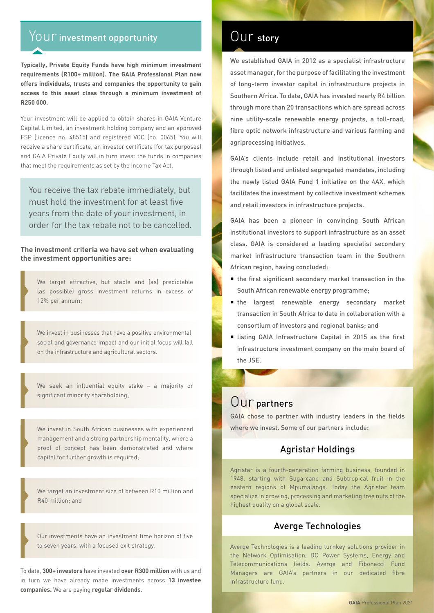## Your investment opportunity

**Typically, Private Equity Funds have high minimum investment requirements (R100+ million). The GAIA Professional Plan now offers individuals, trusts and companies the opportunity to gain access to this asset class through a minimum investment of R250 000.** 

Your investment will be applied to obtain shares in GAIA Venture Capital Limited, an investment holding company and an approved FSP (licence no. 48515) and registered VCC (no. 0065). You will receive a share certificate, an investor certificate (for tax purposes) and GAIA Private Equity will in turn invest the funds in companies that meet the requirements as set by the Income Tax Act.

You receive the tax rebate immediately, but must hold the investment for at least five years from the date of your investment, in order for the tax rebate not to be cancelled.

**The investment criteria we have set when evaluating the investment opportunities are:**

We target attractive, but stable and (as) predictable (as possible) gross investment returns in excess of 12% per annum;

We invest in businesses that have a positive environmental, social and governance impact and our initial focus will fall on the infrastructure and agricultural sectors.

We seek an influential equity stake – a majority or significant minority shareholding;

We invest in South African businesses with experienced management and a strong partnership mentality, where a proof of concept has been demonstrated and where capital for further growth is required;

We target an investment size of between R10 million and R40 million; and

Our investments have an investment time horizon of five to seven years, with a focused exit strategy.

To date, **300+ investors** have invested **over R300 million** with us and in turn we have already made investments across **13 investee companies.** We are paying **regular dividends**.

### Our story

We established GAIA in 2012 as a specialist infrastructure asset manager, for the purpose of facilitating the investment of long-term investor capital in infrastructure projects in Southern Africa. To date, GAIA has invested nearly R4 billion through more than 20 transactions which are spread across nine utility-scale renewable energy projects, a toll-road, fibre optic network infrastructure and various farming and agriprocessing initiatives.

GAIA's clients include retail and institutional investors through listed and unlisted segregated mandates, including the newly listed GAIA Fund 1 initiative on the 4AX, which facilitates the investment by collective investment schemes and retail investors in infrastructure projects.

GAIA has been a pioneer in convincing South African institutional investors to support infrastructure as an asset class. GAIA is considered a leading specialist secondary market infrastructure transaction team in the Southern African region, having concluded:

- $\blacksquare$  the first significant secondary market transaction in the South African renewable energy programme;
- the largest renewable energy secondary market transaction in South Africa to date in collaboration with a consortium of investors and regional banks; and
- listing GAIA Infrastructure Capital in 2015 as the first infrastructure investment company on the main board of the JSE.

### Our partners

GAIA chose to partner with industry leaders in the fields where we invest. Some of our partners include:

### Agristar Holdings

Agristar is a fourth-generation farming business, founded in 1948, starting with Sugarcane and Subtropical fruit in the eastern regions of Mpumalanga. Today the Agristar team specialize in growing, processing and marketing tree nuts of the highest quality on a global scale.

### Averge Technologies

Averge Technologies is a leading turnkey solutions provider in the Network Optimisation, DC Power Systems, Energy and Telecommunications fields. Averge and Fibonacci Fund Managers are GAIA's partners in our dedicated fibre infrastructure fund.